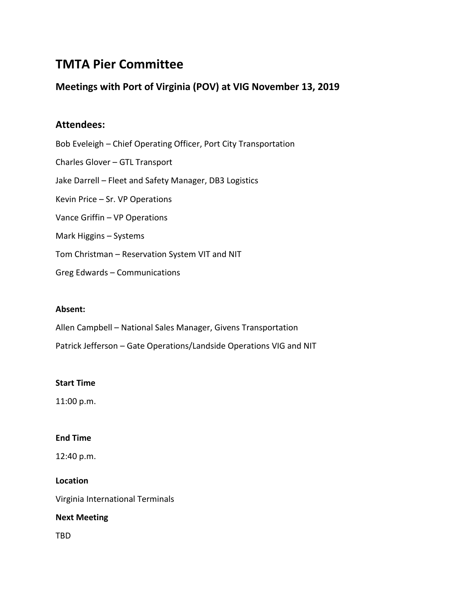# **TMTA Pier Committee**

# **Meetings with Port of Virginia (POV) at VIG November 13, 2019**

# **Attendees:**

Bob Eveleigh – Chief Operating Officer, Port City Transportation Charles Glover – GTL Transport Jake Darrell – Fleet and Safety Manager, DB3 Logistics Kevin Price – Sr. VP Operations Vance Griffin – VP Operations Mark Higgins – Systems Tom Christman – Reservation System VIT and NIT

Greg Edwards – Communications

# **Absent:**

Allen Campbell – National Sales Manager, Givens Transportation

Patrick Jefferson – Gate Operations/Landside Operations VIG and NIT

# **Start Time**

11:00 p.m.

# **End Time**

12:40 p.m.

# **Location**

Virginia International Terminals

# **Next Meeting**

TBD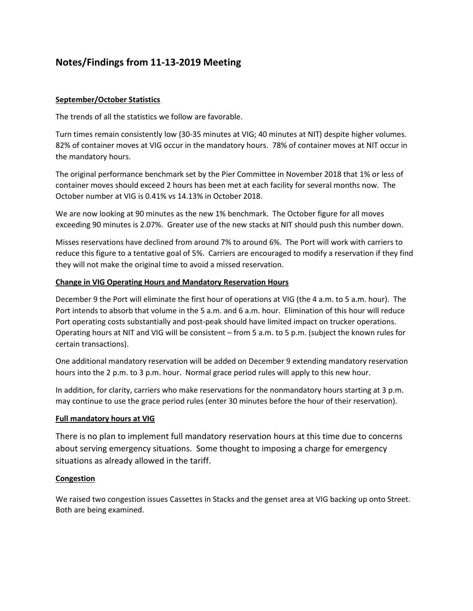# **Notes/Findings from 11-13-2019 Meeting**

## **September/October Statistics**

The trends of all the statistics we follow are favorable.

Turn times remain consistently low (30-35 minutes at VIG; 40 minutes at NIT) despite higher volumes. 82% of container moves at VIG occur in the mandatory hours. 78% of container moves at NIT occur in the mandatory hours.

The original performance benchmark set by the Pier Committee in November 2018 that 1% or less of container moves should exceed 2 hours has been met at each facility for several months now. The October number at VIG is 0.41% vs 14.13% in October 2018.

We are now looking at 90 minutes as the new 1% benchmark. The October figure for all moves exceeding 90 minutes is 2.07%. Greater use of the new stacks at NIT should push this number down.

Misses reservations have declined from around 7% to around 6%. The Port will work with carriers to reduce this figure to a tentative goal of 5%. Carriers are encouraged to modify a reservation if they find they will not make the original time to avoid a missed reservation.

## **Change in VIG Operating Hours and Mandatory Reservation Hours**

December 9 the Port will eliminate the first hour of operations at VIG (the 4 a.m. to 5 a.m. hour). The Port intends to absorb that volume in the 5 a.m. and 6 a.m. hour. Elimination of this hour will reduce Port operating costs substantially and post-peak should have limited impact on trucker operations. Operating hours at NIT and VIG will be consistent – from 5 a.m. to 5 p.m. (subject the known rules for certain transactions).

One additional mandatory reservation will be added on December 9 extending mandatory reservation hours into the 2 p.m. to 3 p.m. hour. Normal grace period rules will apply to this new hour.

In addition, for clarity, carriers who make reservations for the nonmandatory hours starting at 3 p.m. may continue to use the grace period rules (enter 30 minutes before the hour of their reservation).

### **Full mandatory hours at VIG**

There is no plan to implement full mandatory reservation hours at this time due to concerns about serving emergency situations. Some thought to imposing a charge for emergency situations as already allowed in the tariff.

### **Congestion**

We raised two congestion issues Cassettes in Stacks and the genset area at VIG backing up onto Street. Both are being examined.